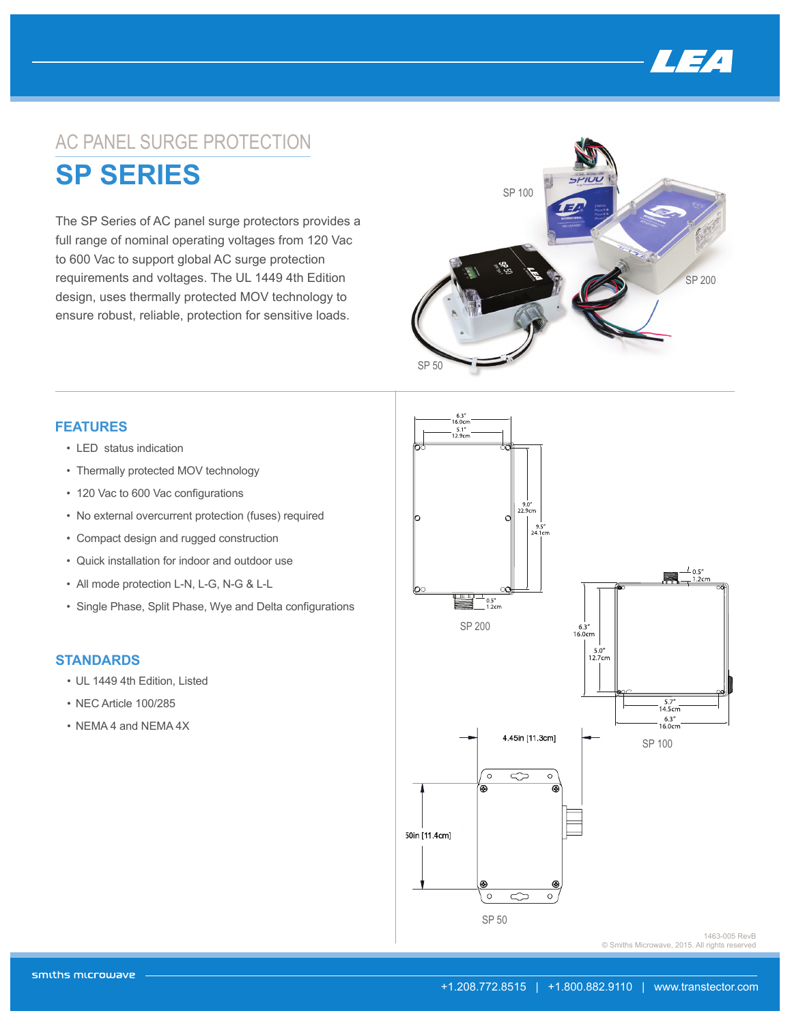

## AC PANEL SURGE PROTECTION **SP SERIES**

The SP Series of AC panel surge protectors provides a full range of nominal operating voltages from 120 Vac to 600 Vac to support global AC surge protection requirements and voltages. The UL 1449 4th Edition design, uses thermally protected MOV technology to ensure robust, reliable, protection for sensitive loads.



## **FEATURES**

- LED status indication
- Thermally protected MOV technology
- 120 Vac to 600 Vac configurations
- No external overcurrent protection (fuses) required
- Compact design and rugged construction
- Quick installation for indoor and outdoor use
- 
- Single Phase, Split Phase, Wye and Delta configurations

## **STANDARDS**

- UL 1449 4th Edition, Listed
- NEC Article 100/285
- NEMA 4 and NEMA 4X



1463-005 RevB © Smiths Microwave, 2015. All rights reserved